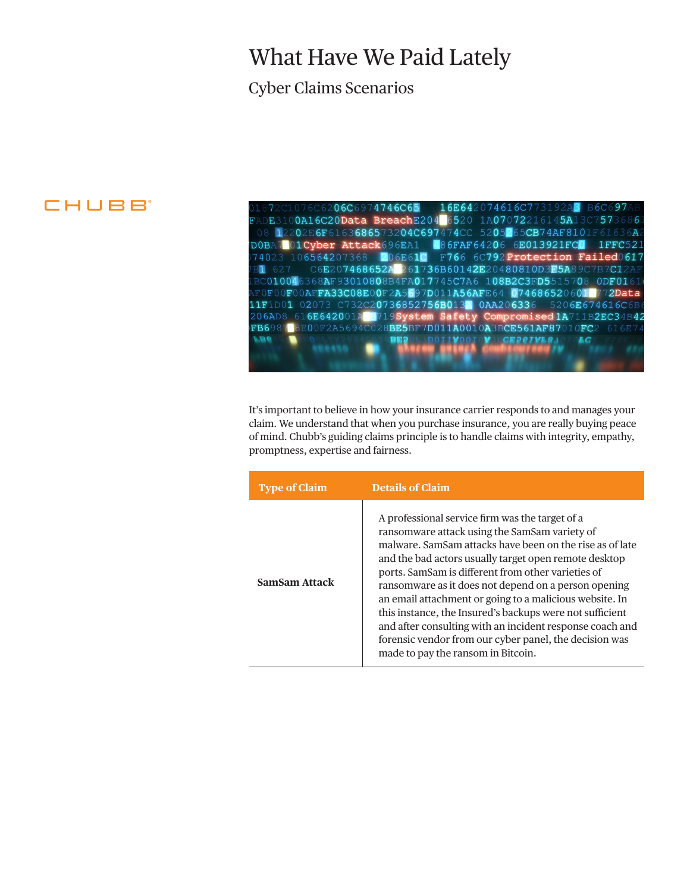## What Have We Paid Lately

### Cyber Claims Scenarios

## CHUBB

06C6974746C65 16E642074616C7 E310**0A16C20Data BreachE204** 6520 1A07072216145A1  $57$ 12202E6F6163686573204C697474CC 5205265CB74AF8101F61  $36A$ DOBA701Cyber Attack696EA1 486FAF64206 6E013921FCO  $1FFC52$ 74023 106564207368 F766 6C792 Protection Failed0617 **206E61C** B1 627 C6E207468652A 261736B60142E20480810D3F5A89C7B7C12A BC010046368AF93010808B4FA017745C7A6 108B2C3FD5515708 **ODF016** F0F00F00AFFA33C08E00F2A5697D011A56AFE64 074686520601 2Data 11F1D01 02073 C732C20736852756B0134 0AA206336 5206E674616C6B 206AD8 61**6E642001AB3719System Safety Compromised1A**711B2EC34B**42**<br>FB6987<mark>8</mark>BE00F2A5694C028**BE5**BF7**D011A0010A3BCE561AF87010FC**2 616E74 **VB6** ĿС

It's important to believe in how your insurance carrier responds to and manages your claim. We understand that when you purchase insurance, you are really buying peace of mind. Chubb's guiding claims principle is to handle claims with integrity, empathy, promptness, expertise and fairness.

| <b>Type of Claim</b> | <b>Details of Claim</b>                                                                                                                                                                                                                                                                                                                                                                                                                                                                                                                                                                                                |
|----------------------|------------------------------------------------------------------------------------------------------------------------------------------------------------------------------------------------------------------------------------------------------------------------------------------------------------------------------------------------------------------------------------------------------------------------------------------------------------------------------------------------------------------------------------------------------------------------------------------------------------------------|
| SamSam Attack        | A professional service firm was the target of a<br>ransomware attack using the SamSam variety of<br>malware. SamSam attacks have been on the rise as of late<br>and the bad actors usually target open remote desktop<br>ports. SamSam is different from other varieties of<br>ransomware as it does not depend on a person opening<br>an email attachment or going to a malicious website. In<br>this instance, the Insured's backups were not sufficient<br>and after consulting with an incident response coach and<br>forensic vendor from our cyber panel, the decision was<br>made to pay the ransom in Bitcoin. |